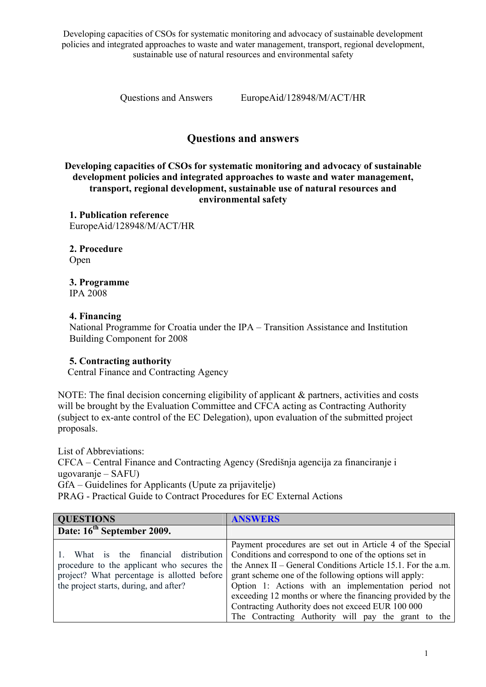Developing capacities of CSOs for systematic monitoring and advocacy of sustainable development policies and integrated approaches to waste and water management, transport, regional development, sustainable use of natural resources and environmental safety

Questions and Answers EuropeAid/128948/M/ACT/HR

## Questions and answers

Developing capacities of CSOs for systematic monitoring and advocacy of sustainable development policies and integrated approaches to waste and water management, transport, regional development, sustainable use of natural resources and environmental safety

1. Publication reference EuropeAid/128948/M/ACT/HR

2. Procedure Open

3. Programme

IPA 2008

## 4. Financing

National Programme for Croatia under the IPA – Transition Assistance and Institution Building Component for 2008

## 5. Contracting authority

Central Finance and Contracting Agency

NOTE: The final decision concerning eligibility of applicant & partners, activities and costs will be brought by the Evaluation Committee and CFCA acting as Contracting Authority (subject to ex-ante control of the EC Delegation), upon evaluation of the submitted project proposals.

List of Abbreviations: CFCA – Central Finance and Contracting Agency (Središnja agencija za financiranje i ugovaranje – SAFU) GfA – Guidelines for Applicants (Upute za prijavitelje) PRAG - Practical Guide to Contract Procedures for EC External Actions

| <b>QUESTIONS</b>                            | <b>ANSWERS</b>                                               |
|---------------------------------------------|--------------------------------------------------------------|
| Date: 16 <sup>th</sup> September 2009.      |                                                              |
|                                             | Payment procedures are set out in Article 4 of the Special   |
| What is the financial distribution          | Conditions and correspond to one of the options set in       |
| procedure to the applicant who secures the  | the Annex II – General Conditions Article 15.1. For the a.m. |
| project? What percentage is allotted before | grant scheme one of the following options will apply:        |
| the project starts, during, and after?      | Option 1: Actions with an implementation period not          |
|                                             | exceeding 12 months or where the financing provided by the   |
|                                             | Contracting Authority does not exceed EUR 100 000            |
|                                             | The Contracting Authority will pay the grant to the          |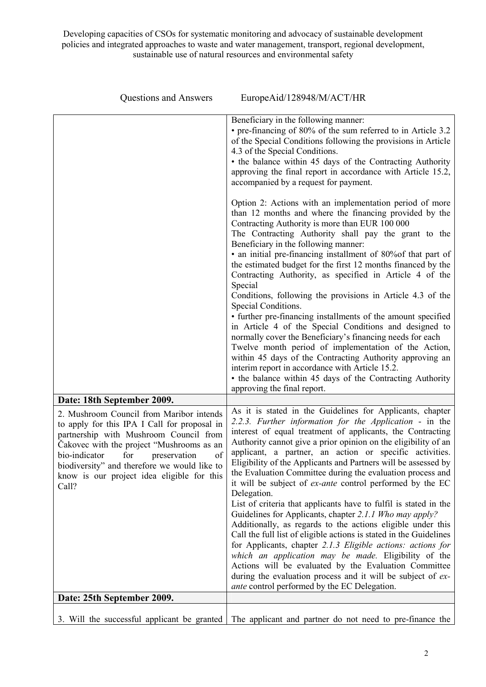Developing capacities of CSOs for systematic monitoring and advocacy of sustainable development policies and integrated approaches to waste and water management, transport, regional development, sustainable use of natural resources and environmental safety

| <b>Questions and Answers</b>                                                                                                                                                                                                                                                                                                   | EuropeAid/128948/M/ACT/HR                                                                                                                                                                                                                                                                                                                                                                                                                                                                                                                                                                                                                                                                                                                                                                                                                                                                                                                                                                                                                                                                                    |
|--------------------------------------------------------------------------------------------------------------------------------------------------------------------------------------------------------------------------------------------------------------------------------------------------------------------------------|--------------------------------------------------------------------------------------------------------------------------------------------------------------------------------------------------------------------------------------------------------------------------------------------------------------------------------------------------------------------------------------------------------------------------------------------------------------------------------------------------------------------------------------------------------------------------------------------------------------------------------------------------------------------------------------------------------------------------------------------------------------------------------------------------------------------------------------------------------------------------------------------------------------------------------------------------------------------------------------------------------------------------------------------------------------------------------------------------------------|
|                                                                                                                                                                                                                                                                                                                                | Beneficiary in the following manner:<br>• pre-financing of 80% of the sum referred to in Article 3.2<br>of the Special Conditions following the provisions in Article<br>4.3 of the Special Conditions.<br>• the balance within 45 days of the Contracting Authority<br>approving the final report in accordance with Article 15.2,<br>accompanied by a request for payment.                                                                                                                                                                                                                                                                                                                                                                                                                                                                                                                                                                                                                                                                                                                                 |
|                                                                                                                                                                                                                                                                                                                                | Option 2: Actions with an implementation period of more<br>than 12 months and where the financing provided by the<br>Contracting Authority is more than EUR 100 000<br>The Contracting Authority shall pay the grant to the<br>Beneficiary in the following manner:                                                                                                                                                                                                                                                                                                                                                                                                                                                                                                                                                                                                                                                                                                                                                                                                                                          |
|                                                                                                                                                                                                                                                                                                                                | • an initial pre-financing installment of 80% of that part of<br>the estimated budget for the first 12 months financed by the<br>Contracting Authority, as specified in Article 4 of the<br>Special<br>Conditions, following the provisions in Article 4.3 of the                                                                                                                                                                                                                                                                                                                                                                                                                                                                                                                                                                                                                                                                                                                                                                                                                                            |
|                                                                                                                                                                                                                                                                                                                                | Special Conditions.<br>• further pre-financing installments of the amount specified<br>in Article 4 of the Special Conditions and designed to<br>normally cover the Beneficiary's financing needs for each<br>Twelve month period of implementation of the Action,<br>within 45 days of the Contracting Authority approving an<br>interim report in accordance with Article 15.2.<br>• the balance within 45 days of the Contracting Authority<br>approving the final report.                                                                                                                                                                                                                                                                                                                                                                                                                                                                                                                                                                                                                                |
| Date: 18th September 2009.                                                                                                                                                                                                                                                                                                     |                                                                                                                                                                                                                                                                                                                                                                                                                                                                                                                                                                                                                                                                                                                                                                                                                                                                                                                                                                                                                                                                                                              |
| 2. Mushroom Council from Maribor intends<br>to apply for this IPA I Call for proposal in<br>partnership with Mushroom Council from<br>Čakovec with the project "Mushrooms as an<br>of<br>bio-indicator for preservation<br>biodiversity" and therefore we would like to<br>know is our project idea eligible for this<br>Call? | As it is stated in the Guidelines for Applicants, chapter<br>2.2.3. Further information for the Application - in the<br>interest of equal treatment of applicants, the Contracting<br>Authority cannot give a prior opinion on the eligibility of an<br>applicant, a partner, an action or specific activities.<br>Eligibility of the Applicants and Partners will be assessed by<br>the Evaluation Committee during the evaluation process and<br>it will be subject of <i>ex-ante</i> control performed by the EC<br>Delegation.<br>List of criteria that applicants have to fulfil is stated in the<br>Guidelines for Applicants, chapter 2.1.1 Who may apply?<br>Additionally, as regards to the actions eligible under this<br>Call the full list of eligible actions is stated in the Guidelines<br>for Applicants, chapter 2.1.3 Eligible actions: actions for<br>which an application may be made. Eligibility of the<br>Actions will be evaluated by the Evaluation Committee<br>during the evaluation process and it will be subject of ex-<br><i>ante</i> control performed by the EC Delegation. |
| Date: 25th September 2009.                                                                                                                                                                                                                                                                                                     |                                                                                                                                                                                                                                                                                                                                                                                                                                                                                                                                                                                                                                                                                                                                                                                                                                                                                                                                                                                                                                                                                                              |
|                                                                                                                                                                                                                                                                                                                                |                                                                                                                                                                                                                                                                                                                                                                                                                                                                                                                                                                                                                                                                                                                                                                                                                                                                                                                                                                                                                                                                                                              |
| 3. Will the successful applicant be granted                                                                                                                                                                                                                                                                                    | The applicant and partner do not need to pre-finance the                                                                                                                                                                                                                                                                                                                                                                                                                                                                                                                                                                                                                                                                                                                                                                                                                                                                                                                                                                                                                                                     |